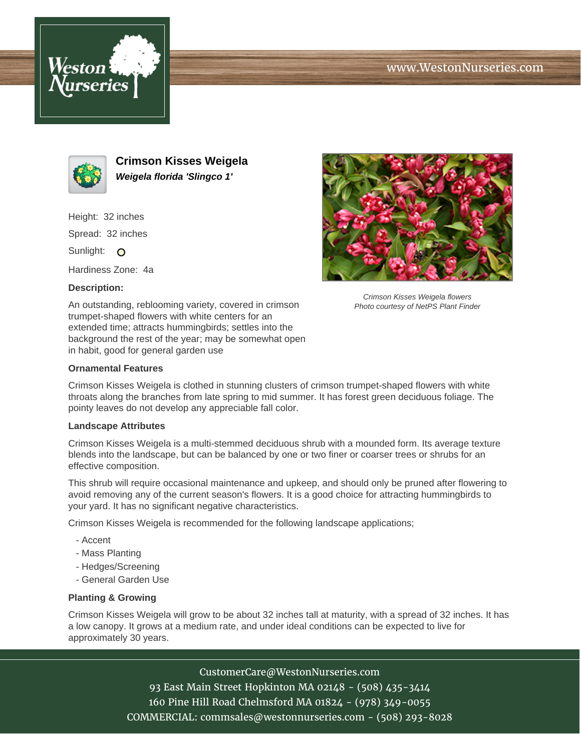





**Crimson Kisses Weigela Weigela florida 'Slingco 1'**

Height: 32 inches Spread: 32 inches Sunlight: O

Hardiness Zone: 4a

## **Description:**

An outstanding, reblooming variety, covered in crimson trumpet-shaped flowers with white centers for an extended time; attracts hummingbirds; settles into the background the rest of the year; may be somewhat open in habit, good for general garden use



Crimson Kisses Weigela is clothed in stunning clusters of crimson trumpet-shaped flowers with white throats along the branches from late spring to mid summer. It has forest green deciduous foliage. The pointy leaves do not develop any appreciable fall color.

## **Landscape Attributes**

Crimson Kisses Weigela is a multi-stemmed deciduous shrub with a mounded form. Its average texture blends into the landscape, but can be balanced by one or two finer or coarser trees or shrubs for an effective composition.

This shrub will require occasional maintenance and upkeep, and should only be pruned after flowering to avoid removing any of the current season's flowers. It is a good choice for attracting hummingbirds to your yard. It has no significant negative characteristics.

Crimson Kisses Weigela is recommended for the following landscape applications;

- Accent
- Mass Planting
- Hedges/Screening
- General Garden Use

## **Planting & Growing**

Crimson Kisses Weigela will grow to be about 32 inches tall at maturity, with a spread of 32 inches. It has a low canopy. It grows at a medium rate, and under ideal conditions can be expected to live for approximately 30 years.

CustomerCare@WestonNurseries.com

93 East Main Street Hopkinton MA 02148 - (508) 435-3414 160 Pine Hill Road Chelmsford MA 01824 - (978) 349-0055 COMMERCIAL: commsales@westonnurseries.com - (508) 293-8028



Crimson Kisses Weigela flowers Photo courtesy of NetPS Plant Finder